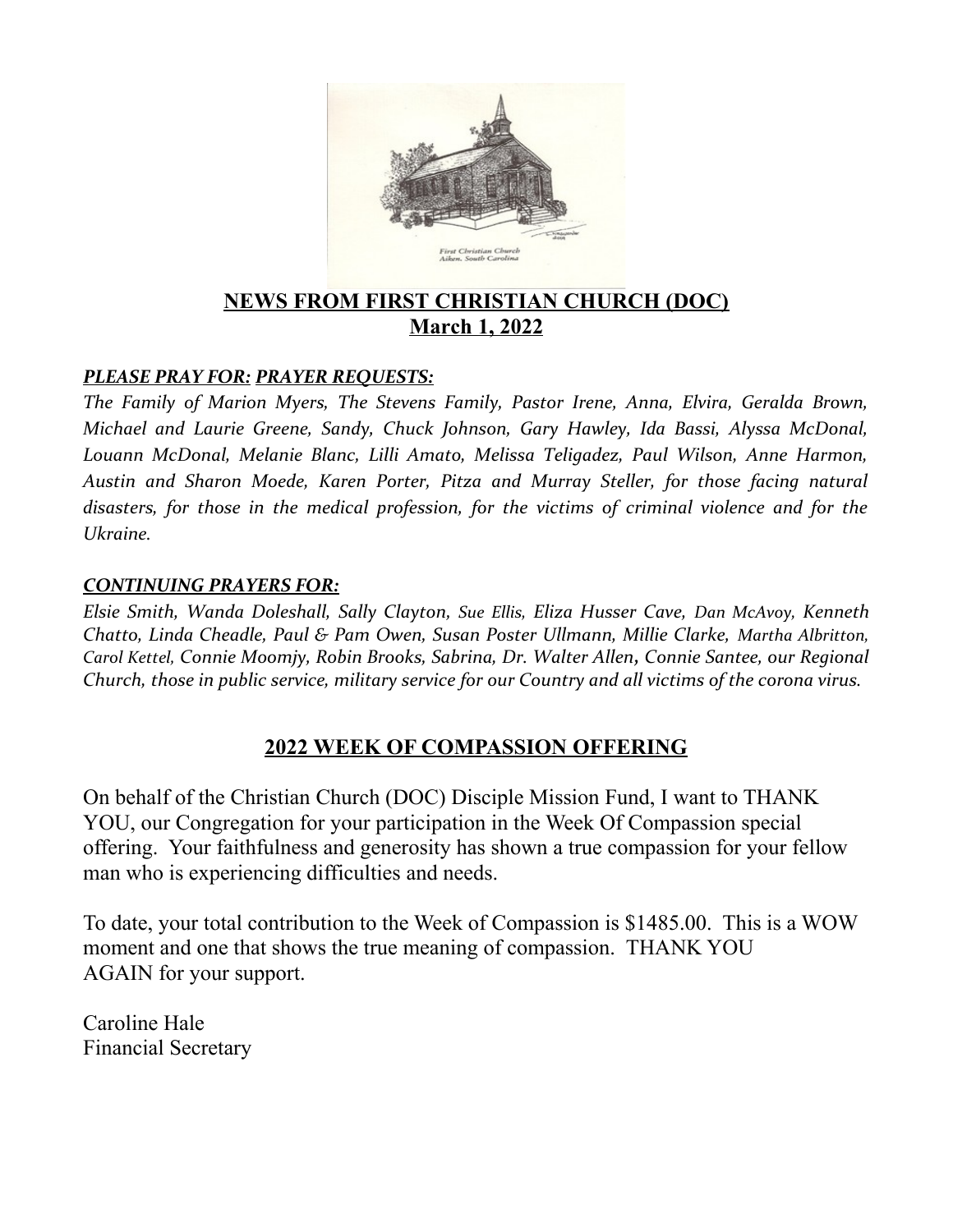

# **NEWS FROM FIRST CHRISTIAN CHURCH (DOC) March 1, 2022**

### *PLEASE PRAY FOR: PRAYER REQUESTS:*

*The Family of Marion Myers, The Stevens Family, Pastor Irene, Anna, Elvira, Geralda Brown, Michael and Laurie Greene, Sandy, Chuck Johnson, Gary Hawley, Ida Bassi, Alyssa McDonal, Louann McDonal, Melanie Blanc, Lilli Amato, Melissa Teligadez, Paul Wilson, Anne Harmon, Austin and Sharon Moede, Karen Porter, Pitza and Murray Steller, for those facing natural disasters, for those in the medical profession, for the victims of criminal violence and for the Ukraine.*

#### *CONTINUING PRAYERS FOR:*

*Elsie Smith, Wanda Doleshall, Sally Clayton, Sue Ellis, Eliza Husser Cave, Dan McAvoy, Kenneth Chatto, Linda Cheadle, Paul & Pam Owen, Susan Poster Ullmann, Millie Clarke, Martha Albritton, Carol Kettel, Connie Moomjy, Robin Brooks, Sabrina, Dr. Walter Allen, Connie Santee, our Regional Church, those in public service, military service for our Country and all victims of the corona virus.* 

### **2022 WEEK OF COMPASSION OFFERING**

On behalf of the Christian Church (DOC) Disciple Mission Fund, I want to THANK YOU, our Congregation for your participation in the Week Of Compassion special offering. Your faithfulness and generosity has shown a true compassion for your fellow man who is experiencing difficulties and needs.

To date, your total contribution to the Week of Compassion is \$1485.00. This is a WOW moment and one that shows the true meaning of compassion. THANK YOU AGAIN for your support.

Caroline Hale Financial Secretary